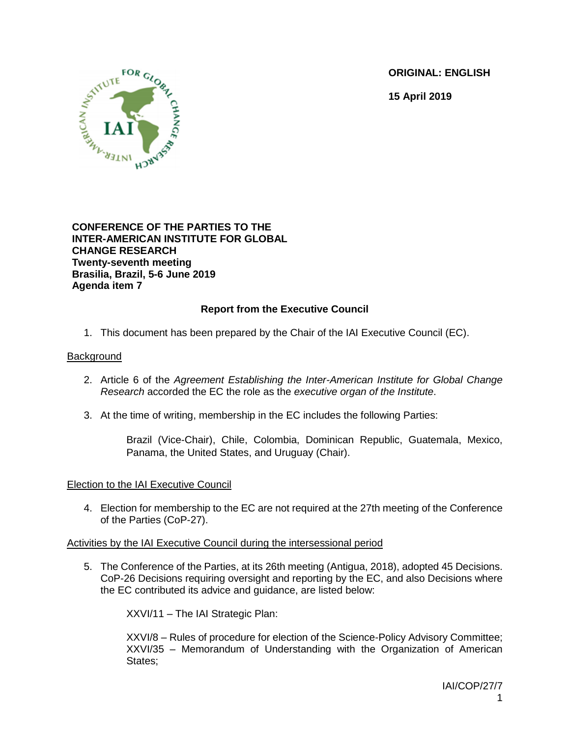**ORIGINAL: ENGLISH**

**15 April 2019**



## **CONFERENCE OF THE PARTIES TO THE INTER-AMERICAN INSTITUTE FOR GLOBAL CHANGE RESEARCH Twenty-seventh meeting Brasilia, Brazil, 5-6 June 2019 Agenda item 7**

# **Report from the Executive Council**

1. This document has been prepared by the Chair of the IAI Executive Council (EC).

## **Background**

- 2. Article 6 of the *Agreement Establishing the Inter-American Institute for Global Change Research* accorded the EC the role as the *executive organ of the Institute*.
- 3. At the time of writing, membership in the EC includes the following Parties:

Brazil (Vice-Chair), Chile, Colombia, Dominican Republic, Guatemala, Mexico, Panama, the United States, and Uruguay (Chair).

### Election to the IAI Executive Council

4. Election for membership to the EC are not required at the 27th meeting of the Conference of the Parties (CoP-27).

## Activities by the IAI Executive Council during the intersessional period

5. The Conference of the Parties, at its 26th meeting (Antigua, 2018), adopted 45 Decisions. CoP-26 Decisions requiring oversight and reporting by the EC, and also Decisions where the EC contributed its advice and guidance, are listed below:

XXVI/11 – The IAI Strategic Plan:

XXVI/8 – Rules of procedure for election of the Science-Policy Advisory Committee; XXVI/35 – Memorandum of Understanding with the Organization of American States;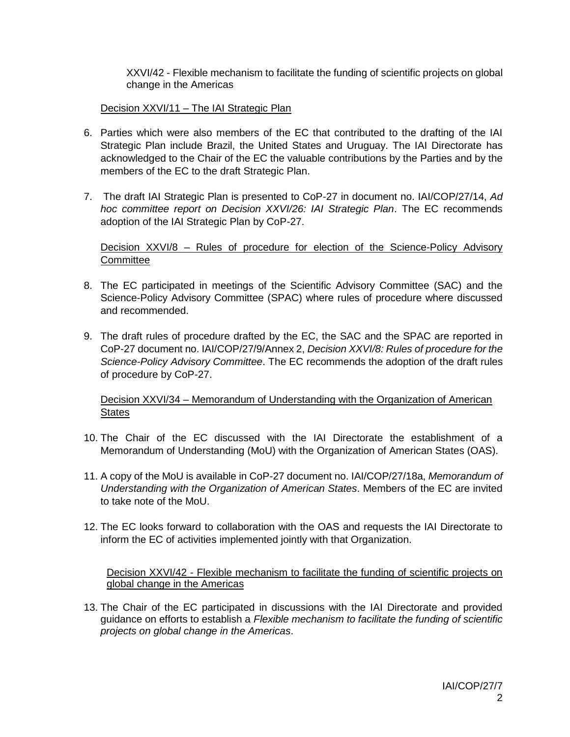XXVI/42 - Flexible mechanism to facilitate the funding of scientific projects on global change in the Americas

Decision XXVI/11 – The IAI Strategic Plan

- 6. Parties which were also members of the EC that contributed to the drafting of the IAI Strategic Plan include Brazil, the United States and Uruguay. The IAI Directorate has acknowledged to the Chair of the EC the valuable contributions by the Parties and by the members of the EC to the draft Strategic Plan.
- 7. The draft IAI Strategic Plan is presented to CoP-27 in document no. IAI/COP/27/14, *Ad hoc committee report on Decision XXVI/26: IAI Strategic Plan*. The EC recommends adoption of the IAI Strategic Plan by CoP-27.

Decision XXVI/8 – Rules of procedure for election of the Science-Policy Advisory **Committee** 

- 8. The EC participated in meetings of the Scientific Advisory Committee (SAC) and the Science-Policy Advisory Committee (SPAC) where rules of procedure where discussed and recommended.
- 9. The draft rules of procedure drafted by the EC, the SAC and the SPAC are reported in CoP-27 document no. IAI/COP/27/9/Annex 2, *Decision XXVI/8: Rules of procedure for the Science-Policy Advisory Committee*. The EC recommends the adoption of the draft rules of procedure by CoP-27.

Decision XXVI/34 – Memorandum of Understanding with the Organization of American **States** 

- 10. The Chair of the EC discussed with the IAI Directorate the establishment of a Memorandum of Understanding (MoU) with the Organization of American States (OAS).
- 11. A copy of the MoU is available in CoP-27 document no. IAI/COP/27/18a, *Memorandum of Understanding with the Organization of American States*. Members of the EC are invited to take note of the MoU.
- 12. The EC looks forward to collaboration with the OAS and requests the IAI Directorate to inform the EC of activities implemented jointly with that Organization.

Decision XXVI/42 - Flexible mechanism to facilitate the funding of scientific projects on global change in the Americas

13. The Chair of the EC participated in discussions with the IAI Directorate and provided guidance on efforts to establish a *Flexible mechanism to facilitate the funding of scientific projects on global change in the Americas*.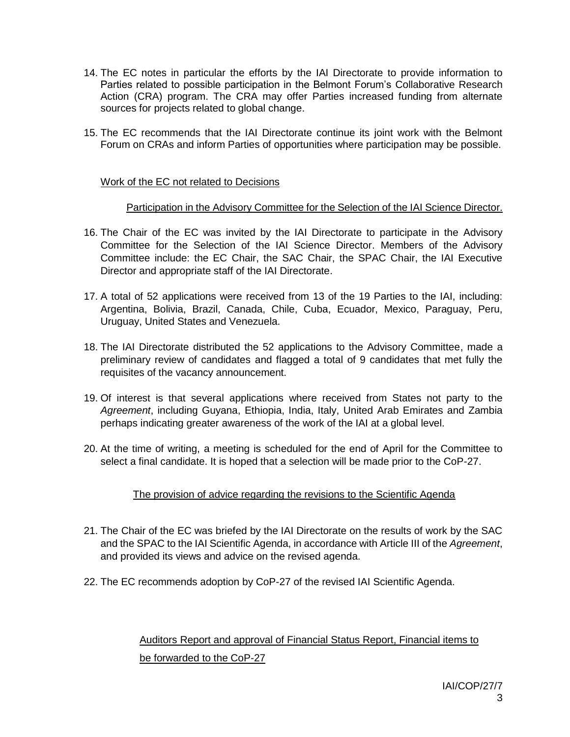- 14. The EC notes in particular the efforts by the IAI Directorate to provide information to Parties related to possible participation in the Belmont Forum's Collaborative Research Action (CRA) program. The CRA may offer Parties increased funding from alternate sources for projects related to global change.
- 15. The EC recommends that the IAI Directorate continue its joint work with the Belmont Forum on CRAs and inform Parties of opportunities where participation may be possible.

## Work of the EC not related to Decisions

## Participation in the Advisory Committee for the Selection of the IAI Science Director.

- 16. The Chair of the EC was invited by the IAI Directorate to participate in the Advisory Committee for the Selection of the IAI Science Director. Members of the Advisory Committee include: the EC Chair, the SAC Chair, the SPAC Chair, the IAI Executive Director and appropriate staff of the IAI Directorate.
- 17. A total of 52 applications were received from 13 of the 19 Parties to the IAI, including: Argentina, Bolivia, Brazil, Canada, Chile, Cuba, Ecuador, Mexico, Paraguay, Peru, Uruguay, United States and Venezuela.
- 18. The IAI Directorate distributed the 52 applications to the Advisory Committee, made a preliminary review of candidates and flagged a total of 9 candidates that met fully the requisites of the vacancy announcement.
- 19. Of interest is that several applications where received from States not party to the *Agreement*, including Guyana, Ethiopia, India, Italy, United Arab Emirates and Zambia perhaps indicating greater awareness of the work of the IAI at a global level.
- 20. At the time of writing, a meeting is scheduled for the end of April for the Committee to select a final candidate. It is hoped that a selection will be made prior to the CoP-27.

## The provision of advice regarding the revisions to the Scientific Agenda

- 21. The Chair of the EC was briefed by the IAI Directorate on the results of work by the SAC and the SPAC to the IAI Scientific Agenda, in accordance with Article III of the *Agreement*, and provided its views and advice on the revised agenda.
- 22. The EC recommends adoption by CoP-27 of the revised IAI Scientific Agenda.

# Auditors Report and approval of Financial Status Report, Financial items to be forwarded to the CoP-27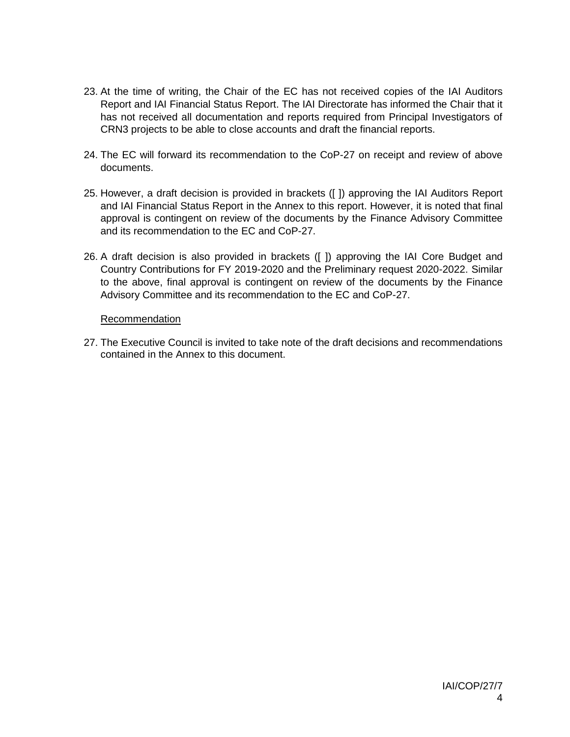- 23. At the time of writing, the Chair of the EC has not received copies of the IAI Auditors Report and IAI Financial Status Report. The IAI Directorate has informed the Chair that it has not received all documentation and reports required from Principal Investigators of CRN3 projects to be able to close accounts and draft the financial reports.
- 24. The EC will forward its recommendation to the CoP-27 on receipt and review of above documents.
- 25. However, a draft decision is provided in brackets ([ ]) approving the IAI Auditors Report and IAI Financial Status Report in the Annex to this report. However, it is noted that final approval is contingent on review of the documents by the Finance Advisory Committee and its recommendation to the EC and CoP-27.
- 26. A draft decision is also provided in brackets ([ ]) approving the IAI Core Budget and Country Contributions for FY 2019-2020 and the Preliminary request 2020-2022. Similar to the above, final approval is contingent on review of the documents by the Finance Advisory Committee and its recommendation to the EC and CoP-27.

### Recommendation

27. The Executive Council is invited to take note of the draft decisions and recommendations contained in the Annex to this document.